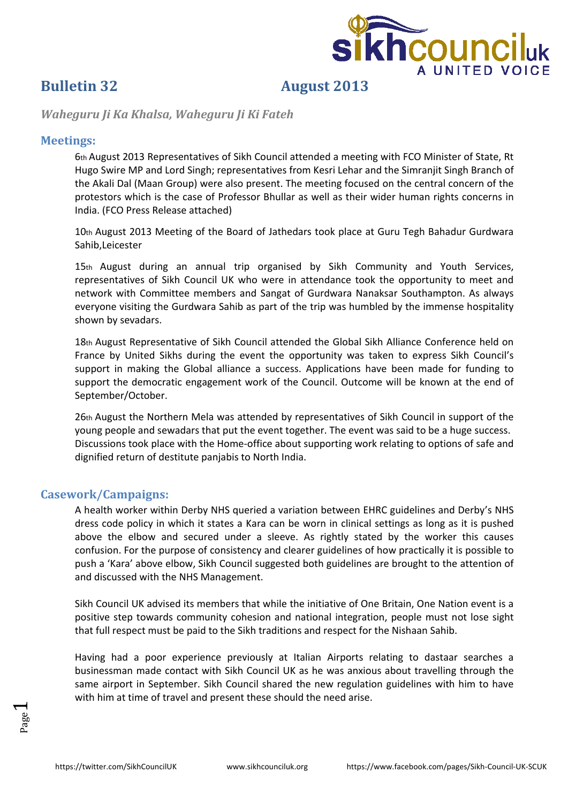

## **Bulletin 32 August 2013**

*Waheguru Ji Ka Khalsa, Waheguru Ji Ki Fateh*

### **Meetings:**

6th August 2013 Representatives of Sikh Council attended a meeting with FCO Minister of State, Rt Hugo Swire MP and Lord Singh; representatives from Kesri Lehar and the Simranjit Singh Branch of the Akali Dal (Maan Group) were also present. The meeting focused on the central concern of the protestors which is the case of Professor Bhullar as well as their wider human rights concerns in India. (FCO Press Release attached)

10th August 2013 Meeting of the Board of Jathedars took place at Guru Tegh Bahadur Gurdwara Sahib,Leicester

15th August during an annual trip organised by Sikh Community and Youth Services, representatives of Sikh Council UK who were in attendance took the opportunity to meet and network with Committee members and Sangat of Gurdwara Nanaksar Southampton. As always everyone visiting the Gurdwara Sahib as part of the trip was humbled by the immense hospitality shown by sevadars.

18th August Representative of Sikh Council attended the Global Sikh Alliance Conference held on France by United Sikhs during the event the opportunity was taken to express Sikh Council's support in making the Global alliance a success. Applications have been made for funding to support the democratic engagement work of the Council. Outcome will be known at the end of September/October.

26th August the Northern Mela was attended by representatives of Sikh Council in support of the young people and sewadars that put the event together. The event was said to be a huge success. Discussions took place with the Home‐office about supporting work relating to options of safe and dignified return of destitute panjabis to North India.

### **Casework/Campaigns:**

A health worker within Derby NHS queried a variation between EHRC guidelines and Derby's NHS dress code policy in which it states a Kara can be worn in clinical settings as long as it is pushed above the elbow and secured under a sleeve. As rightly stated by the worker this causes confusion. For the purpose of consistency and clearer guidelines of how practically it is possible to push a 'Kara' above elbow, Sikh Council suggested both guidelines are brought to the attention of and discussed with the NHS Management.

Sikh Council UK advised its members that while the initiative of One Britain, One Nation event is a positive step towards community cohesion and national integration, people must not lose sight that full respect must be paid to the Sikh traditions and respect for the Nishaan Sahib.

Having had a poor experience previously at Italian Airports relating to dastaar searches a businessman made contact with Sikh Council UK as he was anxious about travelling through the same airport in September. Sikh Council shared the new regulation guidelines with him to have with him at time of travel and present these should the need arise.